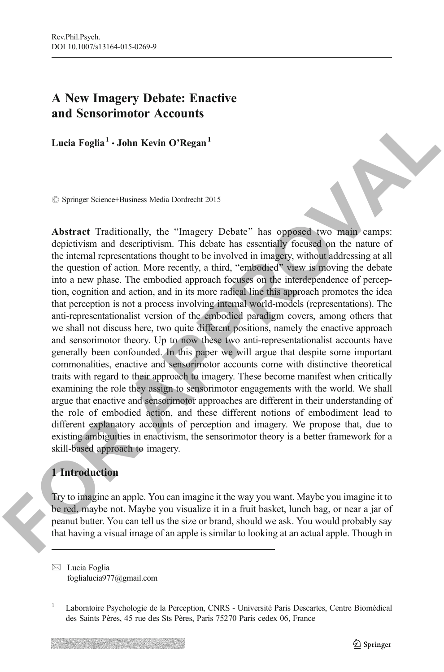# A New Imagery Debate: Enactive and Sensorimotor Accounts

Lucia Foglia<sup>1</sup>  $\cdot$  John Kevin O'Regan<sup>1</sup>

 $\oslash$  Springer Science+Business Media Dordrecht 2015

**Excel Foglia** <sup>1</sup> **John Kevin O'Receating**<br> **For all Consideration For all Consideration For all Considers 2015**<br> **Abstract Traditionally, the "Imagery Debate" has opposed two many empty depletivism and descriptivism.** Abstract Traditionally, the "Imagery Debate" has opposed two main camps: depictivism and descriptivism. This debate has essentially focused on the nature of the internal representations thought to be involved in imagery, without addressing at all the question of action. More recently, a third, "embodied" view is moving the debate into a new phase. The embodied approach focuses on the interdependence of perception, cognition and action, and in its more radical line this approach promotes the idea that perception is not a process involving internal world-models (representations). The anti-representationalist version of the embodied paradigm covers, among others that we shall not discuss here, two quite different positions, namely the enactive approach and sensorimotor theory. Up to now these two anti-representationalist accounts have generally been confounded. In this paper we will argue that despite some important commonalities, enactive and sensorimotor accounts come with distinctive theoretical traits with regard to their approach to imagery. These become manifest when critically examining the role they assign to sensorimotor engagements with the world. We shall argue that enactive and sensorimotor approaches are different in their understanding of the role of embodied action, and these different notions of embodiment lead to different explanatory accounts of perception and imagery. We propose that, due to existing ambiguities in enactivism, the sensorimotor theory is a better framework for a skill-based approach to imagery.

## 1 Introduction

Try to imagine an apple. You can imagine it the way you want. Maybe you imagine it to be red, maybe not. Maybe you visualize it in a fruit basket, lunch bag, or near a jar of peanut butter. You can tell us the size or brand, should we ask. You would probably say that having a visual image of an apple is similar to looking at an actual apple. Though in

 $\boxtimes$  Lucia Foglia foglialucia977@gmail.com

<sup>1</sup> Laboratoire Psychologie de la Perception, CNRS - Université Paris Descartes, Centre Biomédical des Saints Pères, 45 rue des Sts Pères, Paris 75270 Paris cedex 06, France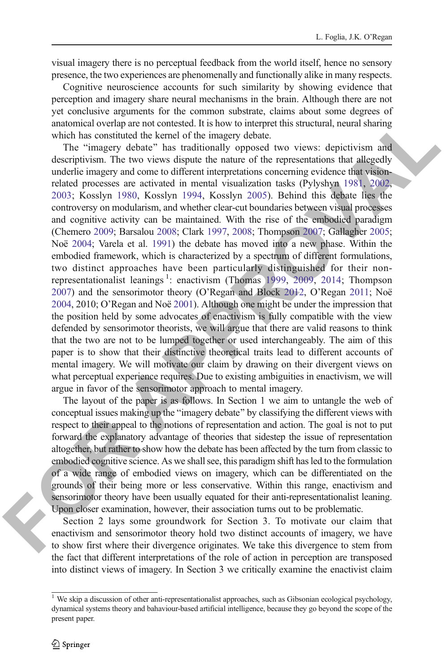visual imagery there is no perceptual feedback from the world itself, hence no sensory presence, the two experiences are phenomenally and functionally alike in many respects.

Cognitive neuroscience accounts for such similarity by showing evidence that perception and imagery share neural mechanisms in the brain. Although there are not yet conclusive arguments for the common substrate, claims about some degrees of anatomical overlap are not contested. It is how to interpret this structural, neural sharing which has constituted the kernel of the imagery debate.

anotonical overlap are not controlled. It is how to interpret this survtural, neural sharing<br>which has constituted the kemel of the imagery debate.<br>The "imagery debate" has tratitionally opposed two views digite in the two The "imagery debate" has traditionally opposed two views: depictivism and descriptivism. The two views dispute the nature of the representations that allegedly underlie imagery and come to different interpretations concerning evidence that visionrelated processes are activated in mental visualization tasks (Pylyshyn 1981, 2002, 2003; Kosslyn 1980, Kosslyn 1994, Kosslyn 2005). Behind this debate lies the controversy on modularism, and whether clear-cut boundaries between visual processes and cognitive activity can be maintained. With the rise of the embodied paradigm (Chemero 2009; Barsalou 2008; Clark 1997, 2008; Thompson 2007; Gallagher 2005; Noë 2004; Varela et al. 1991) the debate has moved into a new phase. Within the embodied framework, which is characterized by a spectrum of different formulations, two distinct approaches have been particularly distinguished for their nonrepresentationalist leanings<sup>1</sup>: enactivism (Thomas 1999, 2009, 2014; Thompson 2007) and the sensorimotor theory (O'Regan and Block 2012, O'Regan 2011; Noë 2004, 2010; O'Regan and Noë 2001). Although one might be under the impression that the position held by some advocates of enactivism is fully compatible with the view defended by sensorimotor theorists, we will argue that there are valid reasons to think that the two are not to be lumped together or used interchangeably. The aim of this paper is to show that their distinctive theoretical traits lead to different accounts of mental imagery. We will motivate our claim by drawing on their divergent views on what perceptual experience requires. Due to existing ambiguities in enactivism, we will argue in favor of the sensorimotor approach to mental imagery.

The layout of the paper is as follows. In Section 1 we aim to untangle the web of conceptual issues making up the "imagery debate" by classifying the different views with respect to their appeal to the notions of representation and action. The goal is not to put forward the explanatory advantage of theories that sidestep the issue of representation altogether, but rather to show how the debate has been affected by the turn from classic to embodied cognitive science. As we shall see, this paradigm shift has led to the formulation of a wide range of embodied views on imagery, which can be differentiated on the grounds of their being more or less conservative. Within this range, enactivism and sensorimotor theory have been usually equated for their anti-representationalist leaning. Upon closer examination, however, their association turns out to be problematic.

Section 2 lays some groundwork for Section 3. To motivate our claim that enactivism and sensorimotor theory hold two distinct accounts of imagery, we have to show first where their divergence originates. We take this divergence to stem from the fact that different interpretations of the role of action in perception are transposed into distinct views of imagery. In Section 3 we critically examine the enactivist claim

 $1$  We skip a discussion of other anti-representationalist approaches, such as Gibsonian ecological psychology, dynamical systems theory and bahaviour-based artificial intelligence, because they go beyond the scope of the present paper.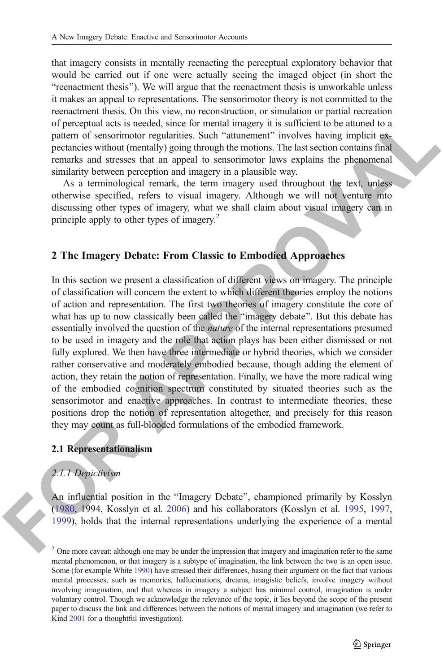that imagery consists in mentally reenacting the perceptual exploratory behavior that would be carried out if one were actually seeing the imaged object (in short the "reenactment thesis"). We will argue that the reenactment thesis is unworkable unless it makes an appeal to representations. The sensorimotor theory is not committed to the reenactment thesis. On this view, no reconstruction, or simulation or partial recreation of perceptual acts is needed, since for mental imagery it is sufficient to be attuned to a pattern of sensorimotor regularities. Such "attunement" involves having implicit expectancies without (mentally) going through the motions. The last section contains final remarks and stresses that an appeal to sensorimotor laws explains the phenomenal similarity between perception and imagery in a plausible way.

As a terminological remark, the term imagery used throughout the text, unless otherwise specified, refers to visual imagery. Although we will not venture into discussing other types of imagery, what we shall claim about visual imagery can in principle apply to other types of imagery.<sup>2</sup>

## 2 The Imagery Debate: From Classic to Embodied Approaches

of perceptial acts is needed, since for mental imagery it is sufficient to be attuach to a perception action contains from pattern is the stream of the metal to percentation of the metal to percentation of the stream of th In this section we present a classification of different views on imagery. The principle of classification will concern the extent to which different theories employ the notions of action and representation. The first two theories of imagery constitute the core of what has up to now classically been called the "imagery debate". But this debate has essentially involved the question of the nature of the internal representations presumed to be used in imagery and the role that action plays has been either dismissed or not fully explored. We then have three intermediate or hybrid theories, which we consider rather conservative and moderately embodied because, though adding the element of action, they retain the notion of representation. Finally, we have the more radical wing of the embodied cognition spectrum constituted by situated theories such as the sensorimotor and enactive approaches. In contrast to intermediate theories, these positions drop the notion of representation altogether, and precisely for this reason they may count as full-blooded formulations of the embodied framework.

## 2.1 Representationalism

## 2.1.1 Depictivism

An influential position in the "Imagery Debate", championed primarily by Kosslyn (1980, 1994, Kosslyn et al. 2006) and his collaborators (Kosslyn et al. 1995, 1997, 1999), holds that the internal representations underlying the experience of a mental

 $\frac{2}{2}$  One more caveat: although one may be under the impression that imagery and imagination refer to the same mental phenomenon, or that imagery is a subtype of imagination, the link between the two is an open issue. Some (for example White [1990](#page-15-0)) have stressed their differences, basing their argument on the fact that various mental processes, such as memories, hallucinations, dreams, imagistic beliefs, involve imagery without involving imagination, and that whereas in imagery a subject has minimal control, imagination is under voluntary control. Though we acknowledge the relevance of the topic, it lies beyond the scope of the present paper to discuss the link and differences between the notions of mental imagery and imagination (we refer to Kind [2001](#page-13-0) for a thoughtful investigation).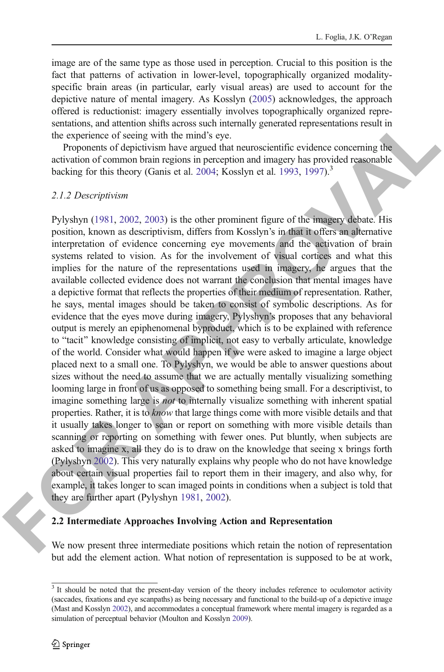image are of the same type as those used in perception. Crucial to this position is the fact that patterns of activation in lower-level, topographically organized modalityspecific brain areas (in particular, early visual areas) are used to account for the depictive nature of mental imagery. As Kosslyn ([2005](#page-14-0)) acknowledges, the approach offered is reductionist: imagery essentially involves topographically organized representations, and attention shifts across such internally generated representations result in the experience of seeing with the mind's eye.

Proponents of depictivism have argued that neuroscientific evidence concerning the activation of common brain regions in perception and imagery has provided reasonable backing for this theory (Ganis et al. 2004; Kosslyn et al. 1993, 1997).<sup>3</sup>

### 2.1.2 Descriptivism

structions, and attention shirks across such internally generated representations result in<br>the experience of excity with the mind's cyc.<br>**Proponents of depictivism have argued that neuroscientific evidence concerning the<br>** Pylyshyn (1981, 2002, 2003) is the other prominent figure of the imagery debate. His position, known as descriptivism, differs from Kosslyn's in that it offers an alternative interpretation of evidence concerning eye movements and the activation of brain systems related to vision. As for the involvement of visual cortices and what this implies for the nature of the representations used in imagery, he argues that the available collected evidence does not warrant the conclusion that mental images have a depictive format that reflects the properties of their medium of representation. Rather, he says, mental images should be taken to consist of symbolic descriptions. As for evidence that the eyes move during imagery, Pylyshyn's proposes that any behavioral output is merely an epiphenomenal byproduct, which is to be explained with reference to "tacit" knowledge consisting of implicit, not easy to verbally articulate, knowledge of the world. Consider what would happen if we were asked to imagine a large object placed next to a small one. To Pylyshyn, we would be able to answer questions about sizes without the need to assume that we are actually mentally visualizing something looming large in front of us as opposed to something being small. For a descriptivist, to imagine something large is not to internally visualize something with inherent spatial properties. Rather, it is to know that large things come with more visible details and that it usually takes longer to scan or report on something with more visible details than scanning or reporting on something with fewer ones. Put bluntly, when subjects are asked to imagine x, all they do is to draw on the knowledge that seeing x brings forth (Pylyshyn 2002). This very naturally explains why people who do not have knowledge about certain visual properties fail to report them in their imagery, and also why, for example, it takes longer to scan imaged points in conditions when a subject is told that they are further apart (Pylyshyn 1981, 2002).

## 2.2 Intermediate Approaches Involving Action and Representation

We now present three intermediate positions which retain the notion of representation but add the element action. What notion of representation is supposed to be at work,

<sup>&</sup>lt;sup>3</sup> It should be noted that the present-day version of the theory includes reference to oculomotor activity (saccades, fixations and eye scanpaths) as being necessary and functional to the build-up of a depictive image (Mast and Kosslyn [2002\)](#page-14-0), and accommodates a conceptual framework where mental imagery is regarded as a simulation of perceptual behavior (Moulton and Kosslyn [2009\)](#page-14-0).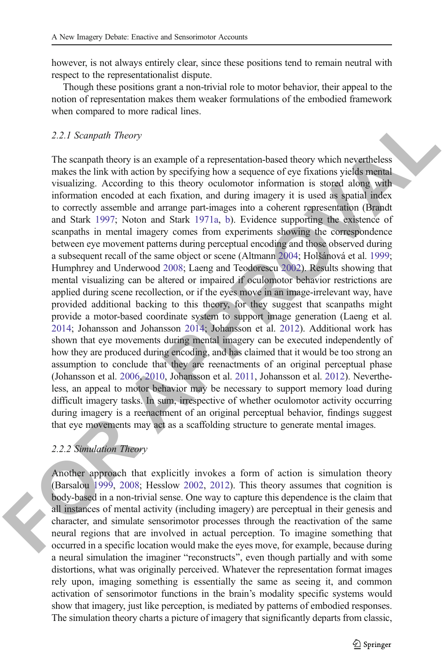however, is not always entirely clear, since these positions tend to remain neutral with respect to the representationalist dispute.

Though these positions grant a non-trivial role to motor behavior, their appeal to the notion of representation makes them weaker formulations of the embodied framework when compared to more radical lines.

#### 2.2.1 Scanpath Theory

2.2.1 Scanyorh Theory<br>
The scanyorh Theory is an example of a representation-based theory which neveatheless<br>
makes the link with action by specifying how a sequence of eye framions yields mathel<br>
visualizing. According t The scanpath theory is an example of a representation-based theory which nevertheless makes the link with action by specifying how a sequence of eye fixations yields mental visualizing. According to this theory oculomotor information is stored along with information encoded at each fixation, and during imagery it is used as spatial index to correctly assemble and arrange part-images into a coherent representation (Brandt and Stark 1997; Noton and Stark 1971a, b). Evidence supporting the existence of scanpaths in mental imagery comes from experiments showing the correspondence between eye movement patterns during perceptual encoding and those observed during a subsequent recall of the same object or scene (Altmann 2004; Holšánová et al. 1999; Humphrey and Underwood 2008; Laeng and Teodorescu 2002). Results showing that mental visualizing can be altered or impaired if oculomotor behavior restrictions are applied during scene recollection, or if the eyes move in an image-irrelevant way, have provided additional backing to this theory, for they suggest that scanpaths might provide a motor-based coordinate system to support image generation (Laeng et al. 2014; Johansson and Johansson 2014; Johansson et al. 2012). Additional work has shown that eye movements during mental imagery can be executed independently of how they are produced during encoding, and has claimed that it would be too strong an assumption to conclude that they are reenactments of an original perceptual phase (Johansson et al. 2006, 2010, Johansson et al. 2011, Johansson et al. 2012). Nevertheless, an appeal to motor behavior may be necessary to support memory load during difficult imagery tasks. In sum, irrespective of whether oculomotor activity occurring during imagery is a reenactment of an original perceptual behavior, findings suggest that eye movements may act as a scaffolding structure to generate mental images.

## 2.2.2 Simulation Theory

Another approach that explicitly invokes a form of action is simulation theory (Barsalou 1999, 2008; Hesslow 2002, 2012). This theory assumes that cognition is body-based in a non-trivial sense. One way to capture this dependence is the claim that all instances of mental activity (including imagery) are perceptual in their genesis and character, and simulate sensorimotor processes through the reactivation of the same neural regions that are involved in actual perception. To imagine something that occurred in a specific location would make the eyes move, for example, because during a neural simulation the imaginer "reconstructs", even though partially and with some distortions, what was originally perceived. Whatever the representation format images rely upon, imaging something is essentially the same as seeing it, and common activation of sensorimotor functions in the brain's modality specific systems would show that imagery, just like perception, is mediated by patterns of embodied responses. The simulation theory charts a picture of imagery that significantly departs from classic,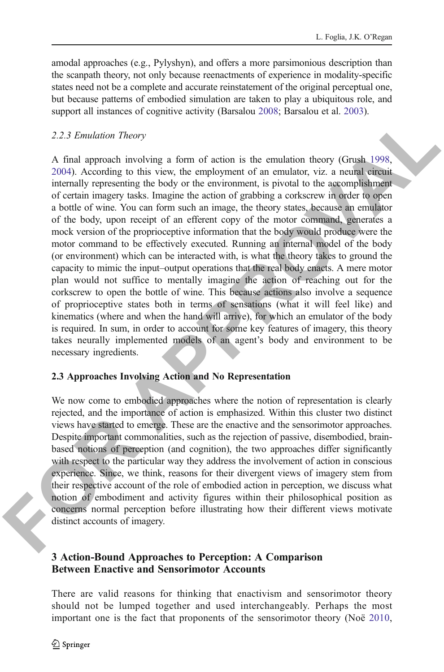amodal approaches (e.g., Pylyshyn), and offers a more parsimonious description than the scanpath theory, not only because reenactments of experience in modality-specific states need not be a complete and accurate reinstatement of the original perceptual one, but because patterns of embodied simulation are taken to play a ubiquitous role, and support all instances of cognitive activity (Barsalou [2008](#page-13-0); Barsalou et al. [2003](#page-13-0)).

### 2.2.3 Emulation Theory

2.2.3 *Formalation Theory*<br>
2.2.3 *Formalation Theory*<br>
A final approach involving a form of action is the emulation theory (Grush 1998;<br>
2004). According to this view, the employment of an emulator, viz. a neural eigentif A final approach involving a form of action is the emulation theory (Grush 1998, 2004). According to this view, the employment of an emulator, viz. a neural circuit internally representing the body or the environment, is pivotal to the accomplishment of certain imagery tasks. Imagine the action of grabbing a corkscrew in order to open a bottle of wine. You can form such an image, the theory states, because an emulator of the body, upon receipt of an efferent copy of the motor command, generates a mock version of the proprioceptive information that the body would produce were the motor command to be effectively executed. Running an internal model of the body (or environment) which can be interacted with, is what the theory takes to ground the capacity to mimic the input–output operations that the real body enacts. A mere motor plan would not suffice to mentally imagine the action of reaching out for the corkscrew to open the bottle of wine. This because actions also involve a sequence of proprioceptive states both in terms of sensations (what it will feel like) and kinematics (where and when the hand will arrive), for which an emulator of the body is required. In sum, in order to account for some key features of imagery, this theory takes neurally implemented models of an agent's body and environment to be necessary ingredients.

## 2.3 Approaches Involving Action and No Representation

We now come to embodied approaches where the notion of representation is clearly rejected, and the importance of action is emphasized. Within this cluster two distinct views have started to emerge. These are the enactive and the sensorimotor approaches. Despite important commonalities, such as the rejection of passive, disembodied, brainbased notions of perception (and cognition), the two approaches differ significantly with respect to the particular way they address the involvement of action in conscious experience. Since, we think, reasons for their divergent views of imagery stem from their respective account of the role of embodied action in perception, we discuss what notion of embodiment and activity figures within their philosophical position as concerns normal perception before illustrating how their different views motivate distinct accounts of imagery.

## 3 Action-Bound Approaches to Perception: A Comparison Between Enactive and Sensorimotor Accounts

There are valid reasons for thinking that enactivism and sensorimotor theory should not be lumped together and used interchangeably. Perhaps the most important one is the fact that proponents of the sensorimotor theory (Noë [2010,](#page-14-0)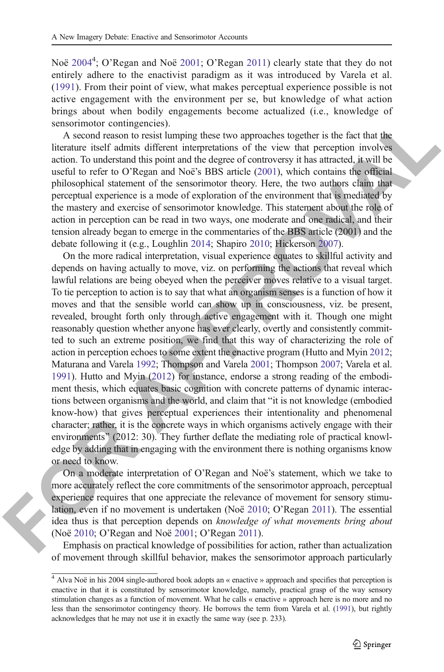Noë [2004](#page-14-0)<sup>4</sup>; O'Regan and Noë [2001;](#page-14-0) O'Regan [2011](#page-14-0)) clearly state that they do not entirely adhere to the enactivist paradigm as it was introduced by Varela et al. [\(1991\)](#page-15-0). From their point of view, what makes perceptual experience possible is not active engagement with the environment per se, but knowledge of what action brings about when bodily engagements become actualized (i.e., knowledge of sensorimotor contingencies).

A second reason to resist lumping these two approaches together is the fact that the literature itself admits different interpretations of the view that perception involves action. To understand this point and the degree of controversy it has attracted, it will be useful to refer to O'Regan and Noë's BBS article (2001), which contains the official philosophical statement of the sensorimotor theory. Here, the two authors claim that perceptual experience is a mode of exploration of the environment that is mediated by the mastery and exercise of sensorimotor knowledge. This statement about the role of action in perception can be read in two ways, one moderate and one radical, and their tension already began to emerge in the commentaries of the BBS article (2001) and the debate following it (e.g., Loughlin 2014; Shapiro 2010; Hickerson 2007).

**EXACTIONT CONDUGATE:** A second method in the sympacture of the view the precision of the sympacture is the function of the sympacture is the function of the sympacture interpretision of the sympacture interpretision of th On the more radical interpretation, visual experience equates to skillful activity and depends on having actually to move, viz. on performing the actions that reveal which lawful relations are being obeyed when the perceiver moves relative to a visual target. To tie perception to action is to say that what an organism senses is a function of how it moves and that the sensible world can show up in consciousness, viz. be present, revealed, brought forth only through active engagement with it. Though one might reasonably question whether anyone has ever clearly, overtly and consistently committed to such an extreme position, we find that this way of characterizing the role of action in perception echoes to some extent the enactive program (Hutto and Myin 2012; Maturana and Varela 1992; Thompson and Varela 2001; Thompson 2007; Varela et al. 1991). Hutto and Myin (2012) for instance, endorse a strong reading of the embodiment thesis, which equates basic cognition with concrete patterns of dynamic interactions between organisms and the world, and claim that "it is not knowledge (embodied know-how) that gives perceptual experiences their intentionality and phenomenal character; rather, it is the concrete ways in which organisms actively engage with their environments" (2012: 30). They further deflate the mediating role of practical knowledge by adding that in engaging with the environment there is nothing organisms know or need to know.

On a moderate interpretation of O'Regan and Noë's statement, which we take to more accurately reflect the core commitments of the sensorimotor approach, perceptual experience requires that one appreciate the relevance of movement for sensory stimulation, even if no movement is undertaken (Noë 2010; O'Regan 2011). The essential idea thus is that perception depends on knowledge of what movements bring about (Noë 2010; O'Regan and Noë 2001; O'Regan 2011).

Emphasis on practical knowledge of possibilities for action, rather than actualization of movement through skillful behavior, makes the sensorimotor approach particularly

<sup>&</sup>lt;sup>4</sup> Alva Noë in his 2004 single-authored book adopts an « enactive » approach and specifies that perception is enactive in that it is constituted by sensorimotor knowledge, namely, practical grasp of the way sensory stimulation changes as a function of movement. What he calls « enactive » approach here is no more and no less than the sensorimotor contingency theory. He borrows the term from Varela et al. [\(1991\)](#page-15-0), but rightly acknowledges that he may not use it in exactly the same way (see p. 233).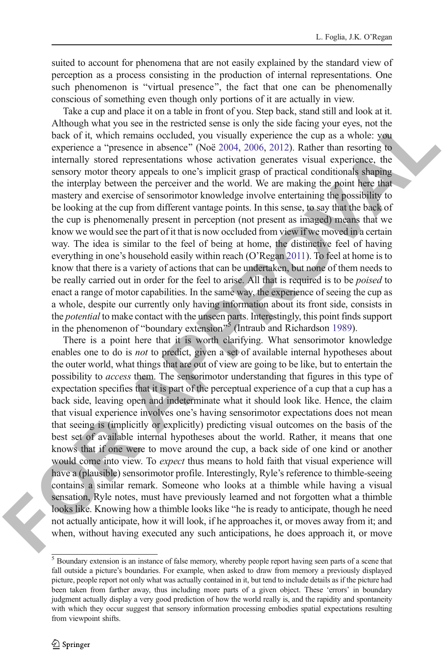suited to account for phenomena that are not easily explained by the standard view of perception as a process consisting in the production of internal representations. One such phenomenon is "virtual presence", the fact that one can be phenomenally conscious of something even though only portions of it are actually in view.

Although what you see in the restricted sense is olet) the side facing your reyes, on the back of it, which remains occluded, you visually experience the cap as a whole- you experience is "presence in sheare" (Note 2006, 2 Take a cup and place it on a table in front of you. Step back, stand still and look at it. Although what you see in the restricted sense is only the side facing your eyes, not the back of it, which remains occluded, you visually experience the cup as a whole: you experience a "presence in absence" (Noë 2004, 2006, 2012). Rather than resorting to internally stored representations whose activation generates visual experience, the sensory motor theory appeals to one's implicit grasp of practical conditionals shaping the interplay between the perceiver and the world. We are making the point here that mastery and exercise of sensorimotor knowledge involve entertaining the possibility to be looking at the cup from different vantage points. In this sense, to say that the back of the cup is phenomenally present in perception (not present as imaged) means that we know we would see the part of it that is now occluded from view if we moved in a certain way. The idea is similar to the feel of being at home, the distinctive feel of having everything in one's household easily within reach (O'Regan 2011). To feel at home is to know that there is a variety of actions that can be undertaken, but none of them needs to be really carried out in order for the feel to arise. All that is required is to be *poised* to enact a range of motor capabilities. In the same way, the experience of seeing the cup as a whole, despite our currently only having information about its front side, consists in the *potential* to make contact with the unseen parts. Interestingly, this point finds support in the phenomenon of "boundary extension"<sup>5</sup> (Intraub and Richardson 1989).

There is a point here that it is worth clarifying. What sensorimotor knowledge enables one to do is *not* to predict, given a set of available internal hypotheses about the outer world, what things that are out of view are going to be like, but to entertain the possibility to access them. The sensorimotor understanding that figures in this type of expectation specifies that it is part of the perceptual experience of a cup that a cup has a back side, leaving open and indeterminate what it should look like. Hence, the claim that visual experience involves one's having sensorimotor expectations does not mean that seeing is (implicitly or explicitly) predicting visual outcomes on the basis of the best set of available internal hypotheses about the world. Rather, it means that one knows that if one were to move around the cup, a back side of one kind or another would come into view. To expect thus means to hold faith that visual experience will have a (plausible) sensorimotor profile. Interestingly, Ryle's reference to thimble-seeing contains a similar remark. Someone who looks at a thimble while having a visual sensation, Ryle notes, must have previously learned and not forgotten what a thimble looks like. Knowing how a thimble looks like "he is ready to anticipate, though he need not actually anticipate, how it will look, if he approaches it, or moves away from it; and when, without having executed any such anticipations, he does approach it, or move

<sup>&</sup>lt;sup>5</sup> Boundary extension is an instance of false memory, whereby people report having seen parts of a scene that fall outside a picture's boundaries. For example, when asked to draw from memory a previously displayed picture, people report not only what was actually contained in it, but tend to include details as if the picture had been taken from farther away, thus including more parts of a given object. These 'errors' in boundary judgment actually display a very good prediction of how the world really is, and the rapidity and spontaneity with which they occur suggest that sensory information processing embodies spatial expectations resulting from viewpoint shifts.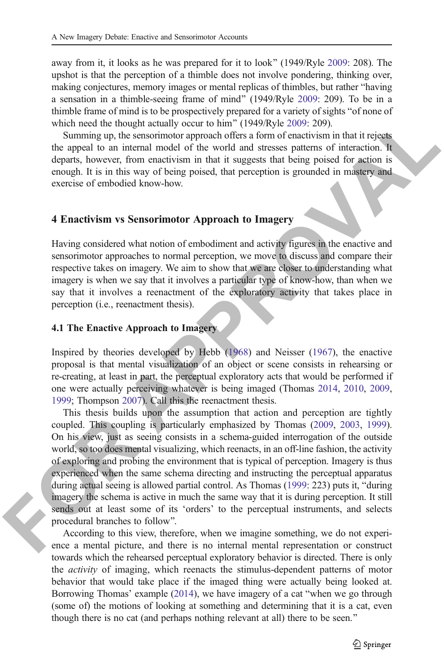away from it, it looks as he was prepared for it to look" (1949/Ryle [2009:](#page-14-0) 208). The upshot is that the perception of a thimble does not involve pondering, thinking over, making conjectures, memory images or mental replicas of thimbles, but rather "having a sensation in a thimble-seeing frame of mind^ (1949/Ryle [2009](#page-14-0): 209). To be in a thimble frame of mind is to be prospectively prepared for a variety of sights "of none of which need the thought actually occur to him" (1949/Ryle 2009: 209).

Summing up, the sensorimotor approach offers a form of enactivism in that it rejects the appeal to an internal model of the world and stresses patterns of interaction. It departs, however, from enactivism in that it suggests that being poised for action is enough. It is in this way of being poised, that perception is grounded in mastery and exercise of embodied know-how.

#### 4 Enactivism vs Sensorimotor Approach to Imagery

Having considered what notion of embodiment and activity figures in the enactive and sensorimotor approaches to normal perception, we move to discuss and compare their respective takes on imagery. We aim to show that we are closer to understanding what imagery is when we say that it involves a particular type of know-how, than when we say that it involves a reenactment of the exploratory activity that takes place in perception (i.e., reenactment thesis).

#### 4.1 The Enactive Approach to Imagery

Inspired by theories developed by Hebb (1968) and Neisser (1967), the enactive proposal is that mental visualization of an object or scene consists in rehearsing or re-creating, at least in part, the perceptual exploratory acts that would be performed if one were actually perceiving whatever is being imaged (Thomas 2014, 2010, 2009, 1999; Thompson 2007). Call this the reenactment thesis.

which need the thought recutally cocar to him" (1949; New York) 2090,<br>
Summing up, the sensorinon<br>tor approach offers a form of emachism in that it rejects<br>
the appeal to an internal model of the world and stresses patter This thesis builds upon the assumption that action and perception are tightly coupled. This coupling is particularly emphasized by Thomas (2009, 2003, 1999). On his view, just as seeing consists in a schema-guided interrogation of the outside world, so too does mental visualizing, which reenacts, in an off-line fashion, the activity of exploring and probing the environment that is typical of perception. Imagery is thus experienced when the same schema directing and instructing the perceptual apparatus during actual seeing is allowed partial control. As Thomas (1999: 223) puts it, "during imagery the schema is active in much the same way that it is during perception. It still sends out at least some of its 'orders' to the perceptual instruments, and selects procedural branches to follow^.

According to this view, therefore, when we imagine something, we do not experience a mental picture, and there is no internal mental representation or construct towards which the rehearsed perceptual exploratory behavior is directed. There is only the *activity* of imaging, which reenacts the stimulus-dependent patterns of motor behavior that would take place if the imaged thing were actually being looked at. Borrowing Thomas' example [\(2014\)](#page-15-0), we have imagery of a cat "when we go through (some of) the motions of looking at something and determining that it is a cat, even though there is no cat (and perhaps nothing relevant at all) there to be seen."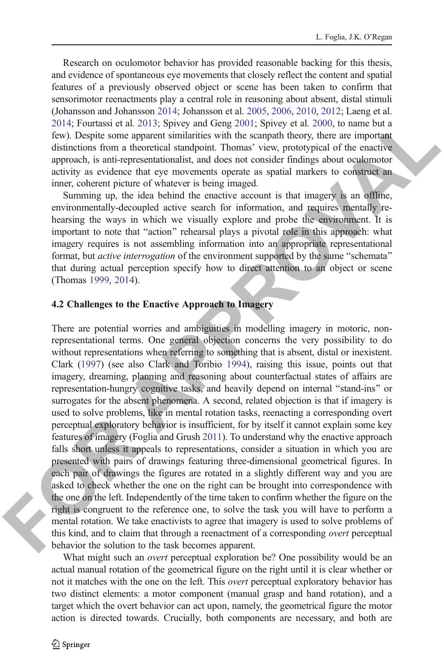Research on oculomotor behavior has provided reasonable backing for this thesis, and evidence of spontaneous eye movements that closely reflect the content and spatial features of a previously observed object or scene has been taken to confirm that sensorimotor reenactments play a central role in reasoning about absent, distal stimuli (Johansson and Johansson [2014](#page-13-0); Johansson et al. [2005,](#page-13-0) [2006,](#page-13-0) [2010,](#page-13-0) [2012;](#page-13-0) Laeng et al. 2014; Fourtassi et al. 2013; Spivey and Geng 2001; Spivey et al. 2000, to name but a few). Despite some apparent similarities with the scanpath theory, there are important distinctions from a theoretical standpoint. Thomas' view, prototypical of the enactive approach, is anti-representationalist, and does not consider findings about oculomotor activity as evidence that eye movements operate as spatial markers to construct an inner, coherent picture of whatever is being imaged.

Summing up, the idea behind the enactive account is that imagery is an offline, environmentally-decoupled active search for information, and requires mentally rehearsing the ways in which we visually explore and probe the environment. It is important to note that "action" rehearsal plays a pivotal role in this approach: what imagery requires is not assembling information into an appropriate representational format, but *active interrogation* of the environment supported by the same "schemata" that during actual perception specify how to direct attention to an object or scene (Thomas 1999, 2014).

#### 4.2 Challenges to the Enactive Approach to Imagery

2014; Fourthesis of al. 2013; Spitey and Geng 2001; Shivay etcl. 2000, to name but a computer dissimation since the spite simulations from a buoncilist state of the case of the case of the case of the case of the case of t There are potential worries and ambiguities in modelling imagery in motoric, nonrepresentational terms. One general objection concerns the very possibility to do without representations when referring to something that is absent, distal or inexistent. Clark (1997) (see also Clark and Toribio 1994), raising this issue, points out that imagery, dreaming, planning and reasoning about counterfactual states of affairs are representation-hungry cognitive tasks, and heavily depend on internal "stand-ins" or surrogates for the absent phenomena. A second, related objection is that if imagery is used to solve problems, like in mental rotation tasks, reenacting a corresponding overt perceptual exploratory behavior is insufficient, for by itself it cannot explain some key features of imagery (Foglia and Grush 2011). To understand why the enactive approach falls short unless it appeals to representations, consider a situation in which you are presented with pairs of drawings featuring three-dimensional geometrical figures. In each pair of drawings the figures are rotated in a slightly different way and you are asked to check whether the one on the right can be brought into correspondence with the one on the left. Independently of the time taken to confirm whether the figure on the right is congruent to the reference one, to solve the task you will have to perform a mental rotation. We take enactivists to agree that imagery is used to solve problems of this kind, and to claim that through a reenactment of a corresponding overt perceptual behavior the solution to the task becomes apparent.

What might such an *overt* perceptual exploration be? One possibility would be an actual manual rotation of the geometrical figure on the right until it is clear whether or not it matches with the one on the left. This *overt* perceptual exploratory behavior has two distinct elements: a motor component (manual grasp and hand rotation), and a target which the overt behavior can act upon, namely, the geometrical figure the motor action is directed towards. Crucially, both components are necessary, and both are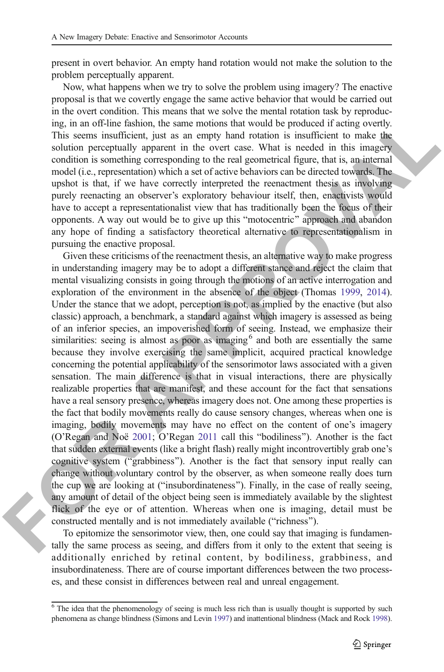present in overt behavior. An empty hand rotation would not make the solution to the problem perceptually apparent.

Now, what happens when we try to solve the problem using imagery? The enactive proposal is that we covertly engage the same active behavior that would be carried out in the overt condition. This means that we solve the mental rotation task by reproducing, in an off-line fashion, the same motions that would be produced if acting overtly. This seems insufficient, just as an empty hand rotation is insufficient to make the solution perceptually apparent in the overt case. What is needed in this imagery condition is something corresponding to the real geometrical figure, that is, an internal model (i.e., representation) which a set of active behaviors can be directed towards. The upshot is that, if we have correctly interpreted the reenactment thesis as involving purely reenacting an observer's exploratory behaviour itself, then, enactivists would have to accept a representationalist view that has traditionally been the focus of their opponents. A way out would be to give up this "motocentric" approach and abandon any hope of finding a satisfactory theoretical alternative to representationalism in pursuing the enactive proposal.

ing, in an off-line fields on the same motions that would be produced if acing overly,<br>This agents insufficient, just as an empty hand rotation is insufficient to make the<br>solution preceptually apparent in the overt case. Given these criticisms of the reenactment thesis, an alternative way to make progress in understanding imagery may be to adopt a different stance and reject the claim that mental visualizing consists in going through the motions of an active interrogation and exploration of the environment in the absence of the object (Thomas 1999, 2014). Under the stance that we adopt, perception is not, as implied by the enactive (but also classic) approach, a benchmark, a standard against which imagery is assessed as being of an inferior species, an impoverished form of seeing. Instead, we emphasize their similarities: seeing is almost as poor as imaging<sup>6</sup> and both are essentially the same because they involve exercising the same implicit, acquired practical knowledge concerning the potential applicability of the sensorimotor laws associated with a given sensation. The main difference is that in visual interactions, there are physically realizable properties that are manifest, and these account for the fact that sensations have a real sensory presence, whereas imagery does not. One among these properties is the fact that bodily movements really do cause sensory changes, whereas when one is imaging, bodily movements may have no effect on the content of one's imagery ( $O'Regan$  and Noë  $2001$ ;  $O'Regan$   $2011$  call this "bodiliness"). Another is the fact that sudden external events (like a bright flash) really might incontrovertibly grab one's cognitive system ("grabbiness"). Another is the fact that sensory input really can change without voluntary control by the observer, as when someone really does turn the cup we are looking at ("insubordinateness"). Finally, in the case of really seeing, any amount of detail of the object being seen is immediately available by the slightest flick of the eye or of attention. Whereas when one is imaging, detail must be constructed mentally and is not immediately available ("richness").

To epitomize the sensorimotor view, then, one could say that imaging is fundamentally the same process as seeing, and differs from it only to the extent that seeing is additionally enriched by retinal content, by bodiliness, grabbiness, and insubordinateness. There are of course important differences between the two processes, and these consist in differences between real and unreal engagement.

 $6$  The idea that the phenomenology of seeing is much less rich than is usually thought is supported by such phenomena as change blindness (Simons and Levin [1997](#page-14-0)) and inattentional blindness (Mack and Rock [1998\)](#page-14-0).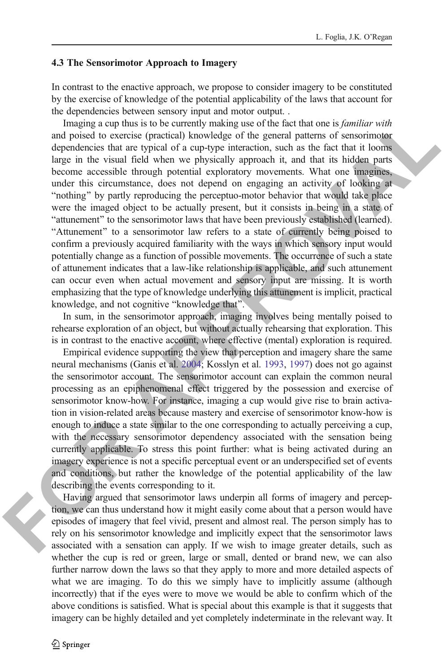#### 4.3 The Sensorimotor Approach to Imagery

In contrast to the enactive approach, we propose to consider imagery to be constituted by the exercise of knowledge of the potential applicability of the laws that account for the dependencies between sensory input and motor output. .

Imaging a cup thus is to be currently making use of the free free tot anots is found<br>then the making the state of the state of the present and the propositions<br>dependents that are typical of a curry-span interaction, such Imaging a cup thus is to be currently making use of the fact that one is *familiar with* and poised to exercise (practical) knowledge of the general patterns of sensorimotor dependencies that are typical of a cup-type interaction, such as the fact that it looms large in the visual field when we physically approach it, and that its hidden parts become accessible through potential exploratory movements. What one imagines, under this circumstance, does not depend on engaging an activity of looking at "nothing" by partly reproducing the perceptuo-motor behavior that would take place were the imaged object to be actually present, but it consists in being in a state of "attunement" to the sensorimotor laws that have been previously established (learned). "Attunement" to a sensorimotor law refers to a state of currently being poised to confirm a previously acquired familiarity with the ways in which sensory input would potentially change as a function of possible movements. The occurrence of such a state of attunement indicates that a law-like relationship is applicable, and such attunement can occur even when actual movement and sensory input are missing. It is worth emphasizing that the type of knowledge underlying this attunement is implicit, practical knowledge, and not cognitive "knowledge that".

In sum, in the sensorimotor approach, imaging involves being mentally poised to rehearse exploration of an object, but without actually rehearsing that exploration. This is in contrast to the enactive account, where effective (mental) exploration is required.

Empirical evidence supporting the view that perception and imagery share the same neural mechanisms (Ganis et al. 2004; Kosslyn et al. 1993, 1997) does not go against the sensorimotor account. The sensorimotor account can explain the common neural processing as an epiphenomenal effect triggered by the possession and exercise of sensorimotor know-how. For instance, imaging a cup would give rise to brain activation in vision-related areas because mastery and exercise of sensorimotor know-how is enough to induce a state similar to the one corresponding to actually perceiving a cup, with the necessary sensorimotor dependency associated with the sensation being currently applicable. To stress this point further: what is being activated during an imagery experience is not a specific perceptual event or an underspecified set of events and conditions, but rather the knowledge of the potential applicability of the law describing the events corresponding to it.

Having argued that sensorimotor laws underpin all forms of imagery and perception, we can thus understand how it might easily come about that a person would have episodes of imagery that feel vivid, present and almost real. The person simply has to rely on his sensorimotor knowledge and implicitly expect that the sensorimotor laws associated with a sensation can apply. If we wish to image greater details, such as whether the cup is red or green, large or small, dented or brand new, we can also further narrow down the laws so that they apply to more and more detailed aspects of what we are imaging. To do this we simply have to implicitly assume (although incorrectly) that if the eyes were to move we would be able to confirm which of the above conditions is satisfied. What is special about this example is that it suggests that imagery can be highly detailed and yet completely indeterminate in the relevant way. It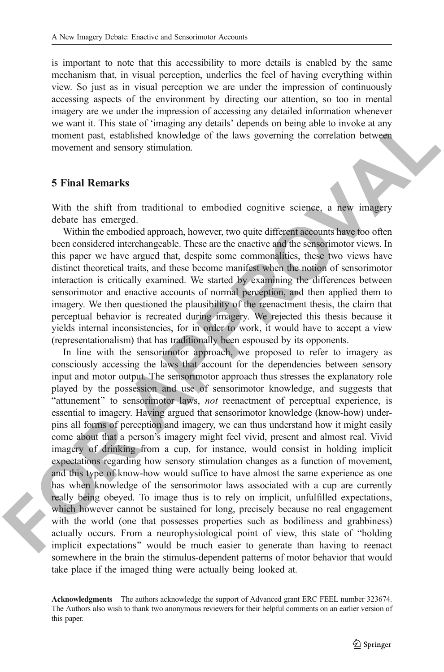is important to note that this accessibility to more details is enabled by the same mechanism that, in visual perception, underlies the feel of having everything within view. So just as in visual perception we are under the impression of continuously accessing aspects of the environment by directing our attention, so too in mental imagery are we under the impression of accessing any detailed information whenever we want it. This state of 'imaging any details' depends on being able to invoke at any moment past, established knowledge of the laws governing the correlation between movement and sensory stimulation.

### 5 Final Remarks

With the shift from traditional to embodied cognitive science, a new imagery debate has emerged.

Within the embodied approach, however, two quite different accounts have too often been considered interchangeable. These are the enactive and the sensorimotor views. In this paper we have argued that, despite some commonalities, these two views have distinct theoretical traits, and these become manifest when the notion of sensorimotor interaction is critically examined. We started by examining the differences between sensorimotor and enactive accounts of normal perception, and then applied them to imagery. We then questioned the plausibility of the reenactment thesis, the claim that perceptual behavior is recreated during imagery. We rejected this thesis because it yields internal inconsistencies, for in order to work, it would have to accept a view (representationalism) that has traditionally been espoused by its opponents.

We want it. This state of 'imaging any details' depends on being able to invoke at any<br>movement and sensory simulation.<br> **F** Final Remarks<br> **F** Final Remarks movement and sensory simulation.<br> **F** Final Remarks the model of In line with the sensorimotor approach, we proposed to refer to imagery as consciously accessing the laws that account for the dependencies between sensory input and motor output. The sensorimotor approach thus stresses the explanatory role played by the possession and use of sensorimotor knowledge, and suggests that "attunement" to sensorimotor laws, not reenactment of perceptual experience, is essential to imagery. Having argued that sensorimotor knowledge (know-how) underpins all forms of perception and imagery, we can thus understand how it might easily come about that a person's imagery might feel vivid, present and almost real. Vivid imagery of drinking from a cup, for instance, would consist in holding implicit expectations regarding how sensory stimulation changes as a function of movement, and this type of know-how would suffice to have almost the same experience as one has when knowledge of the sensorimotor laws associated with a cup are currently really being obeyed. To image thus is to rely on implicit, unfulfilled expectations, which however cannot be sustained for long, precisely because no real engagement with the world (one that possesses properties such as bodiliness and grabbiness) actually occurs. From a neurophysiological point of view, this state of "holding implicit expectations" would be much easier to generate than having to reenact somewhere in the brain the stimulus-dependent patterns of motor behavior that would take place if the imaged thing were actually being looked at.

> Acknowledgments The authors acknowledge the support of Advanced grant ERC FEEL number 323674. The Authors also wish to thank two anonymous reviewers for their helpful comments on an earlier version of this paper.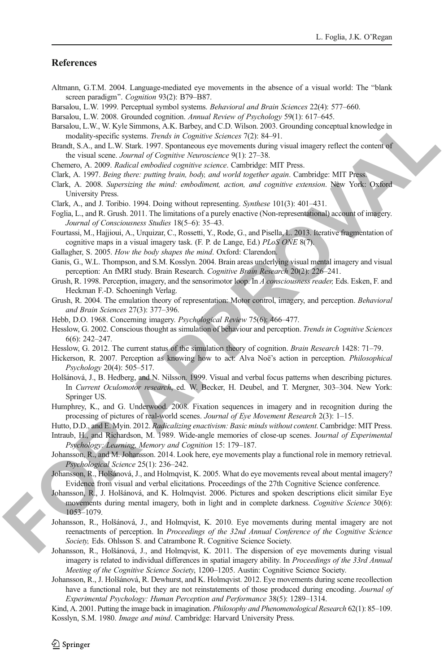#### <span id="page-13-0"></span>References

- Altmann, G.T.M. 2004. Language-mediated eye movements in the absence of a visual world: The "blank screen paradigm". Cognition 93(2): B79–B87.
- Barsalou, L.W. 1999. Perceptual symbol systems. Behavioral and Brain Sciences 22(4): 577–660.
- Barsalou, L.W. 2008. Grounded cognition. Annual Review of Psychology 59(1): 617–645.
- Barsalou, L.W., W. Kyle Simmons, A.K. Barbey, and C.D. Wilson. 2003. Grounding conceptual knowledge in modality-specific systems. Trends in Cognitive Sciences 7(2): 84–91.
- Brandt, S.A., and L.W. Stark. 1997. Spontaneous eye movements during visual imagery reflect the content of the visual scene. Journal of Cognitive Neuroscience 9(1): 27-38.
- Chemero, A. 2009. Radical embodied cognitive science. Cambridge: MIT Press.
- Clark, A. 1997. Being there: putting brain, body, and world together again. Cambridge: MIT Press.
- Clark, A. 2008. Supersizing the mind: embodiment, action, and cognitive extension. New York: Oxford University Press.
- Clark, A., and J. Toribio. 1994. Doing without representing. Synthese 101(3): 401–431.
- Foglia, L., and R. Grush. 2011. The limitations of a purely enactive (Non-representational) account of imagery. Journal of Consciousness Studies 18(5–6): 35–43.
- Fourtassi, M., Hajjioui, A., Urquizar, C., Rossetti, Y., Rode, G., and Pisella, L. 2013. Iterative fragmentation of cognitive maps in a visual imagery task. (F. P. de Lange, Ed.) PLoS ONE 8(7).
- Gallagher, S. 2005. How the body shapes the mind. Oxford: Clarendon.
- Ganis, G., W.L. Thompson, and S.M. Kosslyn. 2004. Brain areas underlying visual mental imagery and visual perception: An fMRI study. Brain Research. Cognitive Brain Research 20(2): 226–241.
- Grush, R. 1998. Perception, imagery, and the sensorimotor loop. In A consciousness reader, Eds. Esken, F. and Heckman F.-D. Schoeningh Verlag.
- Grush, R. 2004. The emulation theory of representation: Motor control, imagery, and perception. Behavioral and Brain Sciences 27(3): 377–396.
- Hebb, D.O. 1968. Concerning imagery. Psychological Review 75(6): 466–477.
- Hesslow, G. 2002. Conscious thought as simulation of behaviour and perception. Trends in Cognitive Sciences 6(6): 242–247.
- Hesslow, G. 2012. The current status of the simulation theory of cognition. Brain Research 1428: 71–79.
- Hickerson, R. 2007. Perception as knowing how to act: Alva Noë's action in perception. Philosophical Psychology 20(4): 505–517.
- **EXALISE LEV. ARSO CONDUCTED AS CONSULTER ADVISION of the SEC (1990) (1991) (1991). So the second of Consulter Consulter (1991) (1991) (1991) (1991) (1991) (1991) (1991) (1991) (1991) (1991) (1991) (1991) (1991) (1991) (1** Holšánová, J., B. Hedberg, and N. Nilsson. 1999. Visual and verbal focus patterns when describing pictures. In Current Oculomotor research, ed. W. Becker, H. Deubel, and T. Mergner, 303–304. New York: Springer US.
	- Humphrey, K., and G. Underwood. 2008. Fixation sequences in imagery and in recognition during the processing of pictures of real-world scenes. Journal of Eye Movement Research 2(3): 1–15.
	- Hutto, D.D., and E. Myin. 2012. Radicalizing enactivism: Basic minds without content. Cambridge: MIT Press.
	- Intraub, H., and Richardson, M. 1989. Wide-angle memories of close-up scenes. Journal of Experimental Psychology: Learning, Memory and Cognition 15: 179–187.
	- Johansson, R., and M. Johansson. 2014. Look here, eye movements play a functional role in memory retrieval. Psychological Science 25(1): 236–242.
	- Johansson, R., Holšánová, J., and Holmqvist, K. 2005. What do eye movements reveal about mental imagery? Evidence from visual and verbal elicitations. Proceedings of the 27th Cognitive Science conference.
	- Johansson, R., J. Holšánová, and K. Holmqvist. 2006. Pictures and spoken descriptions elicit similar Eye movements during mental imagery, both in light and in complete darkness. Cognitive Science 30(6): 1053–1079.
	- Johansson, R., Holšánová, J., and Holmqvist, K. 2010. Eye movements during mental imagery are not reenactments of perception. In Proceedings of the 32nd Annual Conference of the Cognitive Science Society, Eds. Ohlsson S. and Catrambone R. Cognitive Science Society.
	- Johansson, R., Holšánová, J., and Holmqvist, K. 2011. The dispersion of eye movements during visual imagery is related to individual differences in spatial imagery ability. In Proceedings of the 33rd Annual Meeting of the Cognitive Science Society, 1200–1205. Austin: Cognitive Science Society.
	- Johansson, R., J. Holšánová, R. Dewhurst, and K. Holmqvist. 2012. Eye movements during scene recollection have a functional role, but they are not reinstatements of those produced during encoding. Journal of Experimental Psychology: Human Perception and Performance 38(5): 1289–1314.
	- Kind, A. 2001. Putting the image back in imagination. *Philosophy and Phenomenological Research* 62(1): 85–109. Kosslyn, S.M. 1980. Image and mind. Cambridge: Harvard University Press.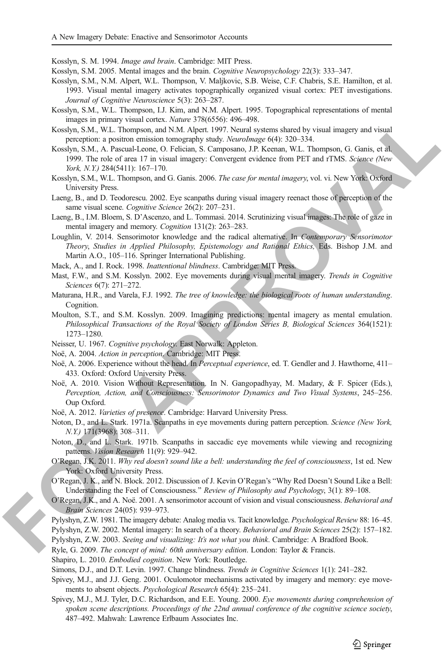<span id="page-14-0"></span>Kosslyn, S. M. 1994. Image and brain. Cambridge: MIT Press.

Kosslyn, S.M. 2005. Mental images and the brain. Cognitive Neuropsychology 22(3): 333–347.

Kosslyn, S.M., N.M. Alpert, W.L. Thompson, V. Maljkovic, S.B. Weise, C.F. Chabris, S.E. Hamilton, et al. 1993. Visual mental imagery activates topographically organized visual cortex: PET investigations. Journal of Cognitive Neuroscience 5(3): 263–287.

- Kosslyn, S.M., W.L. Thompson, I.J. Kim, and N.M. Alpert. 1995. Topographical representations of mental images in primary visual cortex. Nature 378(6556): 496–498.
- Kosslyn, S.M., W.L. Thompson, and N.M. Alpert. 1997. Neural systems shared by visual imagery and visual perception: a positron emission tomography study. NeuroImage 6(4): 320–334.
- Kosslyn, S.M., A. Pascual-Leone, O. Felician, S. Camposano, J.P. Keenan, W.L. Thompson, G. Ganis, et al. 1999. The role of area 17 in visual imagery: Convergent evidence from PET and rTMS. Science (New York, N.Y.) 284(5411): 167–170.
- Kosslyn, S.M., W.L. Thompson, and G. Ganis. 2006. The case for mental imagery, vol. vi. New York: Oxford University Press.
- Laeng, B., and D. Teodorescu. 2002. Eye scanpaths during visual imagery reenact those of perception of the same visual scene. Cognitive Science 26(2): 207-231.
- Laeng, B., I.M. Bloem, S. D'Ascenzo, and L. Tommasi. 2014. Scrutinizing visual images: The role of gaze in mental imagery and memory. Cognition 131(2): 263–283.
- Loughlin, V. 2014. Sensorimotor knowledge and the radical alternative. In Contemporary Sensorimotor Theory, Studies in Applied Philosophy, Epistemology and Rational Ethics, Eds. Bishop J.M. and Martin A.O., 105–116. Springer International Publishing.
- Mack, A., and I. Rock. 1998. Inattentional blindness. Cambridge: MIT Press.
- Mast, F.W., and S.M. Kosslyn. 2002. Eye movements during visual mental imagery. Trends in Cognitive Sciences 6(7): 271–272.
- Maturana, H.R., and Varela, F.J. 1992. The tree of knowledge: the biological roots of human understanding. Cognition.
- Moulton, S.T., and S.M. Kosslyn. 2009. Imagining predictions: mental imagery as mental emulation. Philosophical Transactions of the Royal Society of London Series B, Biological Sciences 364(1521): 1273–1280.
- Neisser, U. 1967. Cognitive psychology. East Norwalk: Appleton.
- Noë, A. 2004. Action in perception. Cambridge: MIT Press.
- Noë, A. 2006. Experience without the head. In Perceptual experience, ed. T. Gendler and J. Hawthorne, 411– 433. Oxford: Oxford University Press.
- FIGURE 100 The transformation of *Constitution Constitution* (For the Section 2001). The spectral interaction and the spectral interaction in the spectral interaction of *Constitution* (Figure 2011). The spectral interacti Noë, A. 2010. Vision Without Representation. In N. Gangopadhyay, M. Madary, & F. Spicer (Eds.), Perception, Action, and Consciousness: Sensorimotor Dynamics and Two Visual Systems, 245–256. Oup Oxford.
	- Noë, A. 2012. Varieties of presence. Cambridge: Harvard University Press.
	- Noton, D., and L. Stark. 1971a. Scanpaths in eye movements during pattern perception. Science (New York, N.Y.) 171(3968): 308–311.
	- Noton, D., and L. Stark. 1971b. Scanpaths in saccadic eye movements while viewing and recognizing patterns. Vision Research 11(9): 929–942.
	- O'Regan, J.K. 2011. Why red doesn't sound like a bell: understanding the feel of consciousness, 1st ed. New York: Oxford University Press.
	- O'Regan, J. K., and N. Block. 2012. Discussion of J. Kevin O'Regan's "Why Red Doesn't Sound Like a Bell: Understanding the Feel of Consciousness.<sup>"</sup> Review of Philosophy and Psychology, 3(1): 89–108.
	- O'Regan, J.K., and A. Noë. 2001. A sensorimotor account of vision and visual consciousness. Behavioral and Brain Sciences 24(05): 939–973.
	- Pylyshyn, Z.W. 1981. The imagery debate: Analog media vs. Tacit knowledge. Psychological Review 88: 16–45.
	- Pylyshyn, Z.W. 2002. Mental imagery: In search of a theory. Behavioral and Brain Sciences 25(2): 157–182.

Pylyshyn, Z.W. 2003. Seeing and visualizing: It's not what you think. Cambridge: A Bradford Book.

- Ryle, G. 2009. The concept of mind: 60th anniversary edition. London: Taylor & Francis.
- Shapiro, L. 2010. Embodied cognition. New York: Routledge.

Simons, D.J., and D.T. Levin. 1997. Change blindness. Trends in Cognitive Sciences 1(1): 241–282.

- Spivey, M.J., and J.J. Geng. 2001. Oculomotor mechanisms activated by imagery and memory: eye movements to absent objects. Psychological Research 65(4): 235–241.
- Spivey, M.J., M.J. Tyler, D.C. Richardson, and E.E. Young. 2000. Eye movements during comprehension of spoken scene descriptions. Proceedings of the 22nd annual conference of the cognitive science society, 487–492. Mahwah: Lawrence Erlbaum Associates Inc.